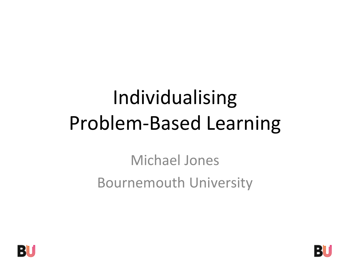# Individualising Problem-Based Learning

Michael Jones Bournemouth University



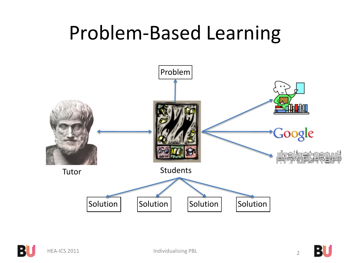#### Problem-Based Learning





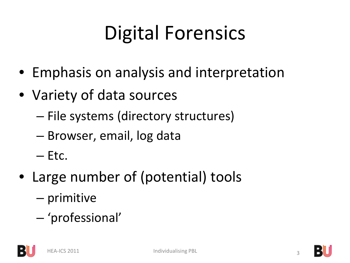## Digital Forensics

- Emphasis on analysis and interpretation
- Variety of data sources
	- File systems (directory structures)
	- Browser, email, log data
	- $-$  Etc.
- Large number of (potential) tools
	- primitive
	- 'professional'

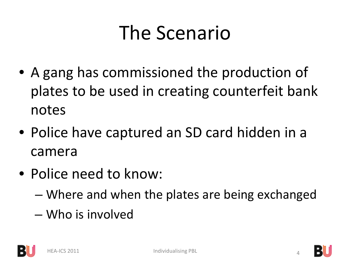#### The Scenario

- A gang has commissioned the production of plates to be used in creating counterfeit bank notes
- Police have captured an SD card hidden in a camera
- Police need to know:
	- Where and when the plates are being exchanged
	- Who is involved



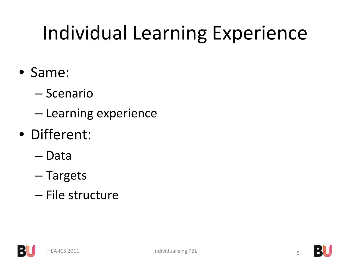## Individual Learning Experience

- Same:
	- Scenario
	- Learning experience
- Different:
	- Data
	- Targets
	- File structure



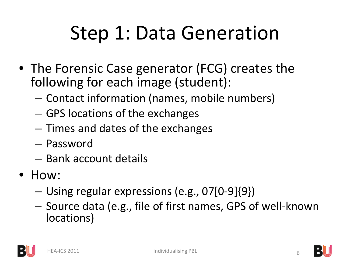#### Step 1: Data Generation

- The Forensic Case generator (FCG) creates the following for each image (student):
	- Contact information (names, mobile numbers)
	- GPS locations of the exchanges
	- Times and dates of the exchanges
	- Password
	- Bank account details
- How:
	- Using regular expressions (e.g., 07[0-9]{9})
	- Source data (e.g., file of first names, GPS of well-known locations)



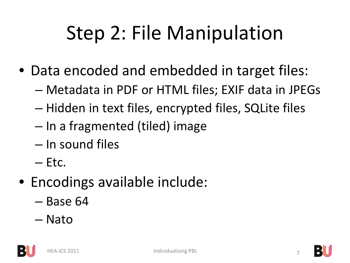## Step 2: File Manipulation

- Data encoded and embedded in target files:
	- Metadata in PDF or HTML files; EXIF data in JPEGs
	- Hidden in text files, encrypted files, SQLite files
	- In a fragmented (tiled) image
	- In sound files
	- $-$  Etc.
- Encodings available include:
	- Base 64
	- Nato



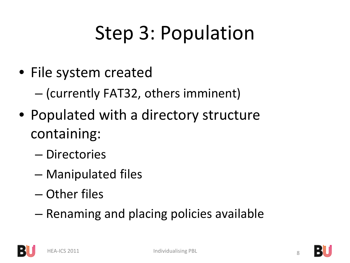# Step 3: Population

• File system created

– (currently FAT32, others imminent)

- Populated with a directory structure containing:
	- Directories
	- Manipulated files
	- Other files
	- Renaming and placing policies available



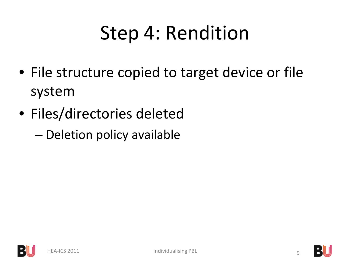### Step 4: Rendition

- File structure copied to target device or file system
- Files/directories deleted
	- Deletion policy available



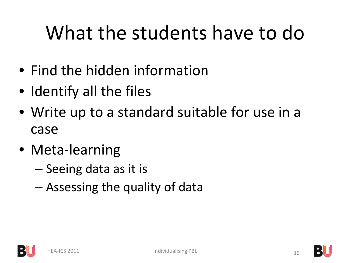## What the students have to do

- Find the hidden information
- Identify all the files
- Write up to a standard suitable for use in a case
- Meta-learning
	- Seeing data as it is
	- Assessing the quality of data



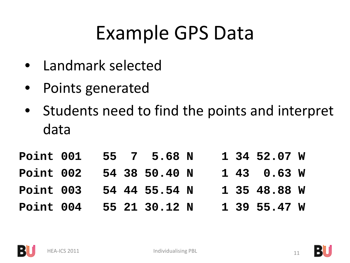#### Example GPS Data

- Landmark selected
- Points generated
- Students need to find the points and interpret data

| Point 001 |  | 55 7 5.68 N   |  | 1 34 52.07 W      |  |
|-----------|--|---------------|--|-------------------|--|
| Point 002 |  | 54 38 50.40 N |  | $1, 43, 0.63$ W   |  |
| Point 003 |  | 54 44 55.54 N |  | 1 35 48.88 W      |  |
| Point 004 |  | 55 21 30.12 N |  | $1\,39\,55.47\,W$ |  |



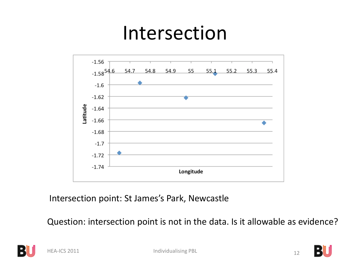#### Intersection



Intersection point: St James's Park, Newcastle

Question: intersection point is not in the data. Is it allowable as evidence?



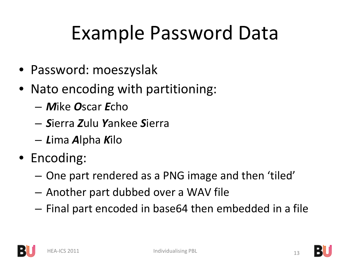### Example Password Data

- Password: moeszyslak
- Nato encoding with partitioning:
	- *M*ike *O*scar *E*cho
	- *S*ierra *Z*ulu *Y*ankee *S*ierra
	- *L*ima *A*lpha *K*ilo
- Encoding:
	- One part rendered as a PNG image and then 'tiled'
	- Another part dubbed over a WAV file
	- Final part encoded in base64 then embedded in a file



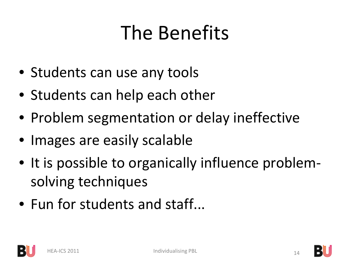#### The Benefits

- Students can use any tools
- Students can help each other
- Problem segmentation or delay ineffective
- Images are easily scalable
- It is possible to organically influence problemsolving techniques
- Fun for students and staff...



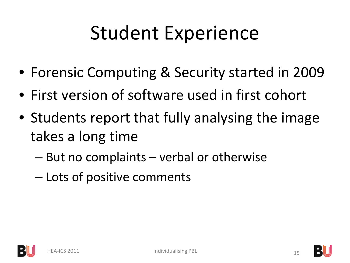#### Student Experience

- Forensic Computing & Security started in 2009
- First version of software used in first cohort
- Students report that fully analysing the image takes a long time
	- But no complaints verbal or otherwise
	- Lots of positive comments



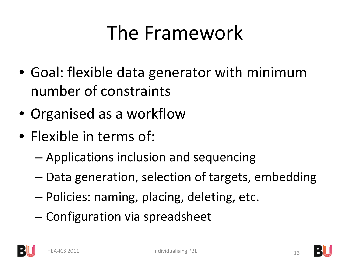### The Framework

- Goal: flexible data generator with minimum number of constraints
- Organised as a workflow
- Flexible in terms of:
	- Applications inclusion and sequencing
	- Data generation, selection of targets, embedding
	- Policies: naming, placing, deleting, etc.
	- Configuration via spreadsheet



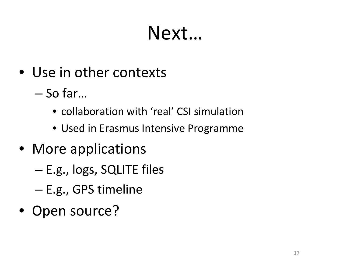#### Next…

- Use in other contexts
	- So far…
		- collaboration with 'real' CSI simulation
		- Used in Erasmus Intensive Programme
- More applications
	- E.g., logs, SQLITE files
	- E.g., GPS timeline
- Open source?